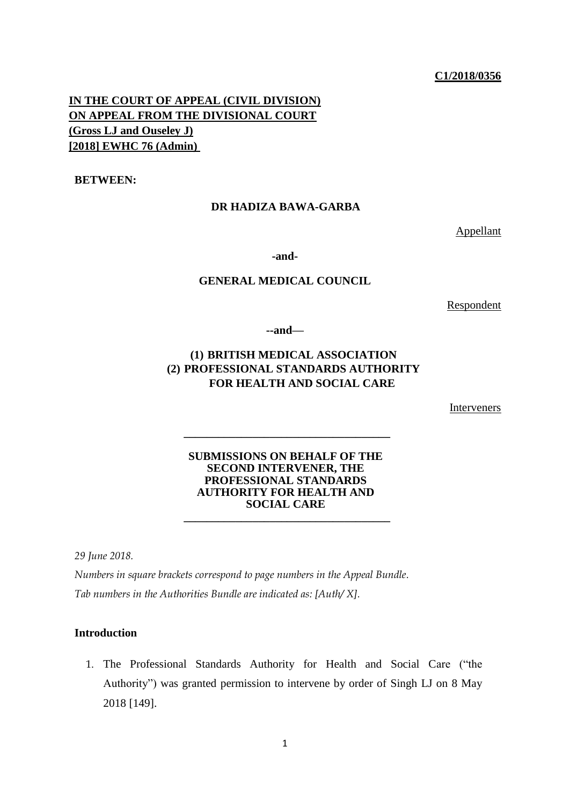#### **C1/2018/0356**

**IN THE COURT OF APPEAL (CIVIL DIVISION) ON APPEAL FROM THE DIVISIONAL COURT (Gross LJ and Ouseley J) [2018] EWHC 76 (Admin)** 

**BETWEEN:**

## **DR HADIZA BAWA-GARBA**

Appellant

**-and-**

### **GENERAL MEDICAL COUNCIL**

Respondent

**--and—**

## **(1) BRITISH MEDICAL ASSOCIATION (2) PROFESSIONAL STANDARDS AUTHORITY FOR HEALTH AND SOCIAL CARE**

**Interveners** 

#### **SUBMISSIONS ON BEHALF OF THE SECOND INTERVENER, THE PROFESSIONAL STANDARDS AUTHORITY FOR HEALTH AND SOCIAL CARE**

*\_\_\_\_\_\_\_\_\_\_\_\_\_\_\_\_\_\_\_\_\_\_\_\_\_\_\_\_\_\_\_\_\_\_\_\_*

*\_\_\_\_\_\_\_\_\_\_\_\_\_\_\_\_\_\_\_\_\_\_\_\_\_\_\_\_\_\_\_\_\_\_\_\_*

*29 June 2018.*

*Numbers in square brackets correspond to page numbers in the Appeal Bundle. Tab numbers in the Authorities Bundle are indicated as: [Auth/ X].*

#### **Introduction**

1. The Professional Standards Authority for Health and Social Care ("the Authority") was granted permission to intervene by order of Singh LJ on 8 May 2018 [149].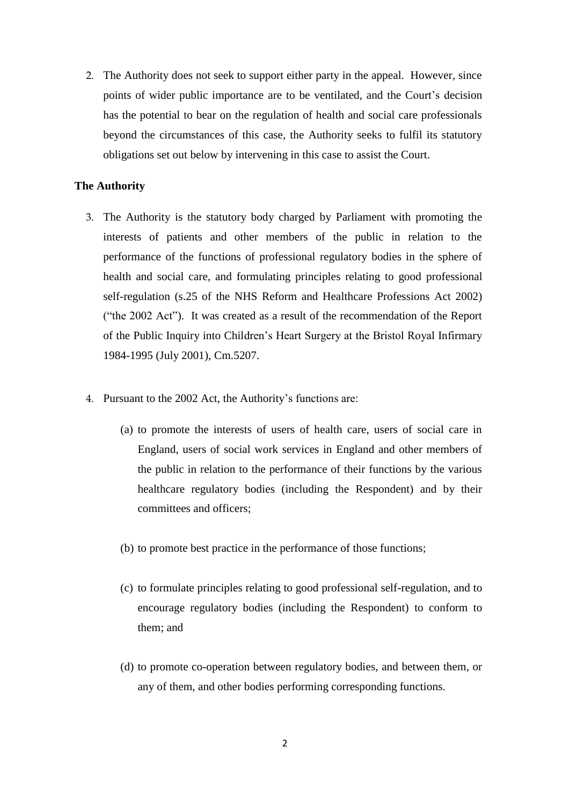2. The Authority does not seek to support either party in the appeal. However, since points of wider public importance are to be ventilated, and the Court's decision has the potential to bear on the regulation of health and social care professionals beyond the circumstances of this case, the Authority seeks to fulfil its statutory obligations set out below by intervening in this case to assist the Court.

#### **The Authority**

- 3. The Authority is the statutory body charged by Parliament with promoting the interests of patients and other members of the public in relation to the performance of the functions of professional regulatory bodies in the sphere of health and social care, and formulating principles relating to good professional self-regulation (s.25 of the NHS Reform and Healthcare Professions Act 2002) ("the 2002 Act"). It was created as a result of the recommendation of the Report of the Public Inquiry into Children's Heart Surgery at the Bristol Royal Infirmary 1984-1995 (July 2001), Cm.5207.
- 4. Pursuant to the 2002 Act, the Authority's functions are:
	- (a) to promote the interests of users of health care, users of social care in England, users of social work services in England and other members of the public in relation to the performance of their functions by the various healthcare regulatory bodies (including the Respondent) and by their committees and officers;
	- (b) to promote best practice in the performance of those functions;
	- (c) to formulate principles relating to good professional self-regulation, and to encourage regulatory bodies (including the Respondent) to conform to them; and
	- (d) to promote co-operation between regulatory bodies, and between them, or any of them, and other bodies performing corresponding functions.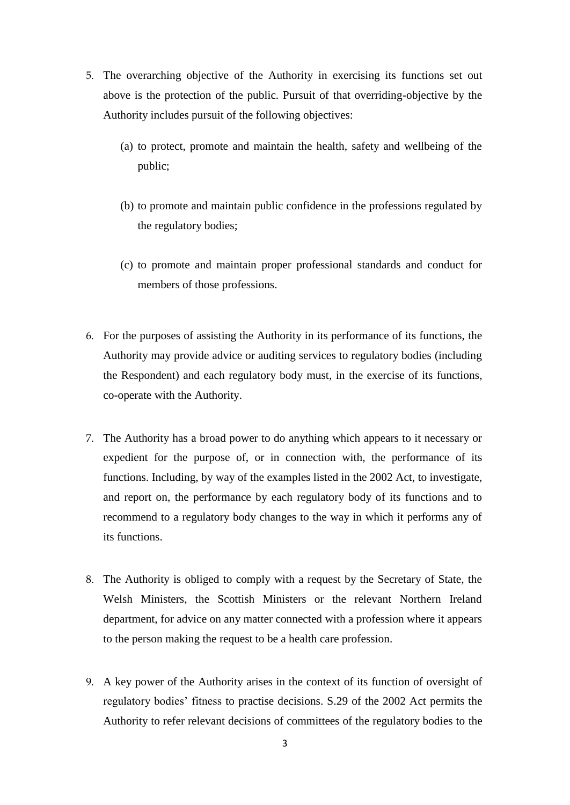- 5. The overarching objective of the Authority in exercising its functions set out above is the protection of the public. Pursuit of that overriding-objective by the Authority includes pursuit of the following objectives:
	- (a) to protect, promote and maintain the health, safety and wellbeing of the public;
	- (b) to promote and maintain public confidence in the professions regulated by the regulatory bodies;
	- (c) to promote and maintain proper professional standards and conduct for members of those professions.
- 6. For the purposes of assisting the Authority in its performance of its functions, the Authority may provide advice or auditing services to regulatory bodies (including the Respondent) and each regulatory body must, in the exercise of its functions, co-operate with the Authority.
- 7. The Authority has a broad power to do anything which appears to it necessary or expedient for the purpose of, or in connection with, the performance of its functions. Including, by way of the examples listed in the 2002 Act, to investigate, and report on, the performance by each regulatory body of its functions and to recommend to a regulatory body changes to the way in which it performs any of its functions.
- 8. The Authority is obliged to comply with a request by the Secretary of State, the Welsh Ministers, the Scottish Ministers or the relevant Northern Ireland department, for advice on any matter connected with a profession where it appears to the person making the request to be a health care profession.
- 9. A key power of the Authority arises in the context of its function of oversight of regulatory bodies' fitness to practise decisions. S.29 of the 2002 Act permits the Authority to refer relevant decisions of committees of the regulatory bodies to the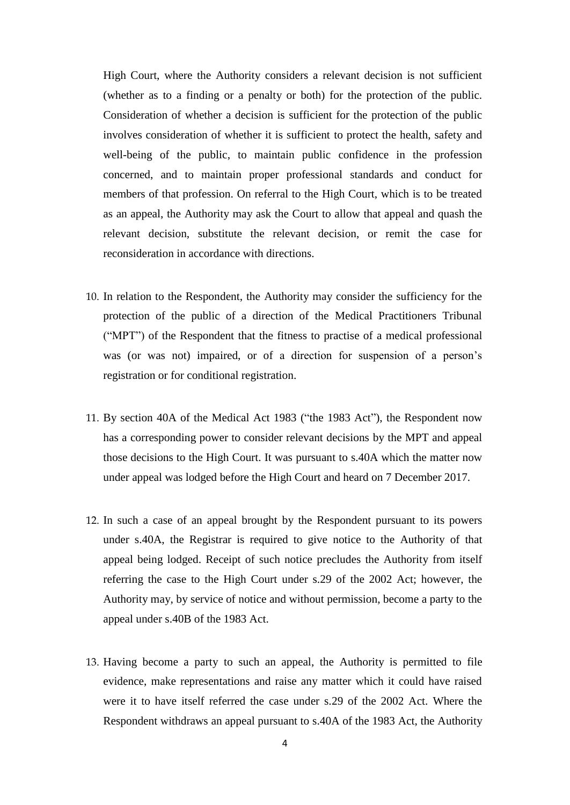High Court, where the Authority considers a relevant decision is not sufficient (whether as to a finding or a penalty or both) for the protection of the public. Consideration of whether a decision is sufficient for the protection of the public involves consideration of whether it is sufficient to protect the health, safety and well-being of the public, to maintain public confidence in the profession concerned, and to maintain proper professional standards and conduct for members of that profession. On referral to the High Court, which is to be treated as an appeal, the Authority may ask the Court to allow that appeal and quash the relevant decision, substitute the relevant decision, or remit the case for reconsideration in accordance with directions.

- 10. In relation to the Respondent, the Authority may consider the sufficiency for the protection of the public of a direction of the Medical Practitioners Tribunal ("MPT") of the Respondent that the fitness to practise of a medical professional was (or was not) impaired, or of a direction for suspension of a person's registration or for conditional registration.
- 11. By section 40A of the Medical Act 1983 ("the 1983 Act"), the Respondent now has a corresponding power to consider relevant decisions by the MPT and appeal those decisions to the High Court. It was pursuant to s.40A which the matter now under appeal was lodged before the High Court and heard on 7 December 2017.
- 12. In such a case of an appeal brought by the Respondent pursuant to its powers under s.40A, the Registrar is required to give notice to the Authority of that appeal being lodged. Receipt of such notice precludes the Authority from itself referring the case to the High Court under s.29 of the 2002 Act; however, the Authority may, by service of notice and without permission, become a party to the appeal under s.40B of the 1983 Act.
- 13. Having become a party to such an appeal, the Authority is permitted to file evidence, make representations and raise any matter which it could have raised were it to have itself referred the case under s.29 of the 2002 Act. Where the Respondent withdraws an appeal pursuant to s.40A of the 1983 Act, the Authority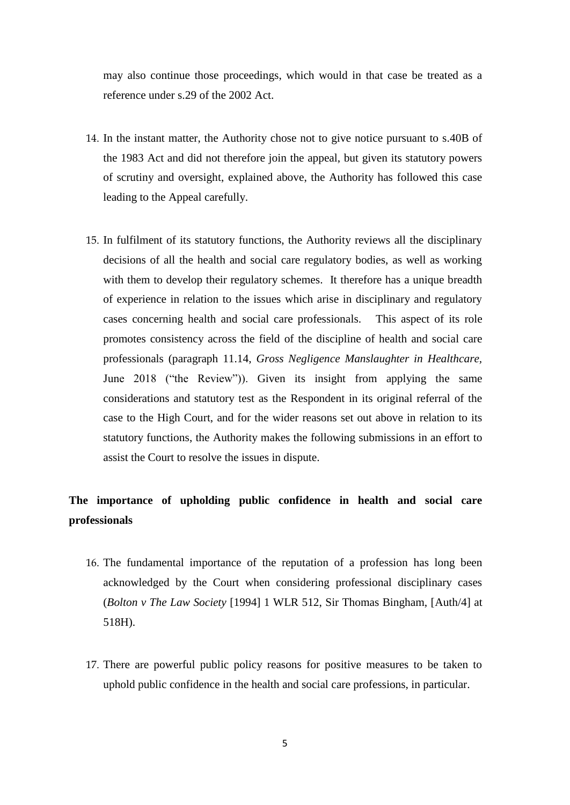may also continue those proceedings, which would in that case be treated as a reference under s.29 of the 2002 Act.

- 14. In the instant matter, the Authority chose not to give notice pursuant to s.40B of the 1983 Act and did not therefore join the appeal, but given its statutory powers of scrutiny and oversight, explained above, the Authority has followed this case leading to the Appeal carefully.
- 15. In fulfilment of its statutory functions, the Authority reviews all the disciplinary decisions of all the health and social care regulatory bodies, as well as working with them to develop their regulatory schemes. It therefore has a unique breadth of experience in relation to the issues which arise in disciplinary and regulatory cases concerning health and social care professionals. This aspect of its role promotes consistency across the field of the discipline of health and social care professionals (paragraph 11.14, *Gross Negligence Manslaughter in Healthcare,*  June 2018 ("the Review")). Given its insight from applying the same considerations and statutory test as the Respondent in its original referral of the case to the High Court, and for the wider reasons set out above in relation to its statutory functions, the Authority makes the following submissions in an effort to assist the Court to resolve the issues in dispute.

# **The importance of upholding public confidence in health and social care professionals**

- 16. The fundamental importance of the reputation of a profession has long been acknowledged by the Court when considering professional disciplinary cases (*Bolton v The Law Society* [1994] 1 WLR 512, Sir Thomas Bingham, [Auth/4] at 518H).
- 17. There are powerful public policy reasons for positive measures to be taken to uphold public confidence in the health and social care professions, in particular.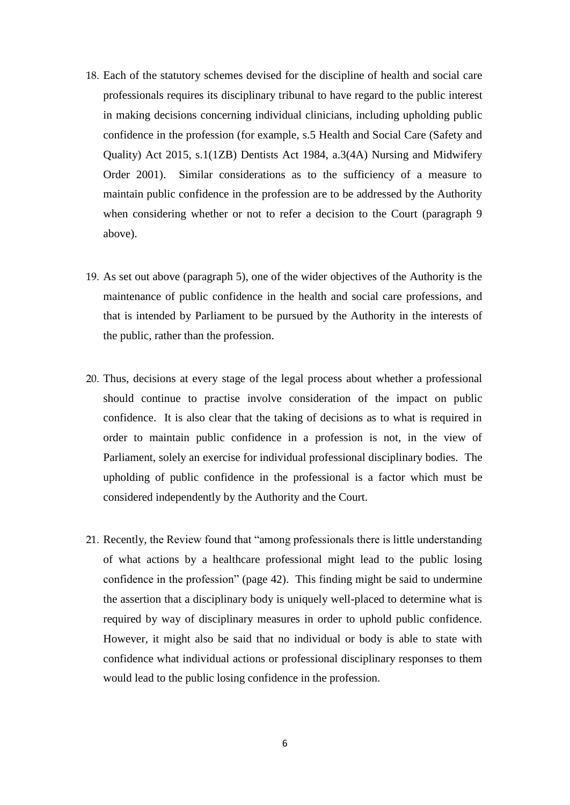- 18. Each of the statutory schemes devised for the discipline of health and social care professionals requires its disciplinary tribunal to have regard to the public interest in making decisions concerning individual clinicians, including upholding public confidence in the profession (for example, s.5 Health and Social Care (Safety and Quality) Act 2015, s.1(1ZB) Dentists Act 1984, a.3(4A) Nursing and Midwifery Order 2001). Similar considerations as to the sufficiency of a measure to maintain public confidence in the profession are to be addressed by the Authority when considering whether or not to refer a decision to the Court (paragraph 9 above).
- 19. As set out above (paragraph 5), one of the wider objectives of the Authority is the maintenance of public confidence in the health and social care professions, and that is intended by Parliament to be pursued by the Authority in the interests of the public, rather than the profession.
- 20. Thus, decisions at every stage of the legal process about whether a professional should continue to practise involve consideration of the impact on public confidence. It is also clear that the taking of decisions as to what is required in order to maintain public confidence in a profession is not, in the view of Parliament, solely an exercise for individual professional disciplinary bodies. The upholding of public confidence in the professional is a factor which must be considered independently by the Authority and the Court.
- 21. Recently, the Review found that "among professionals there is little understanding of what actions by a healthcare professional might lead to the public losing confidence in the profession" (page 42). This finding might be said to undermine the assertion that a disciplinary body is uniquely well-placed to determine what is required by way of disciplinary measures in order to uphold public confidence. However, it might also be said that no individual or body is able to state with confidence what individual actions or professional disciplinary responses to them would lead to the public losing confidence in the profession.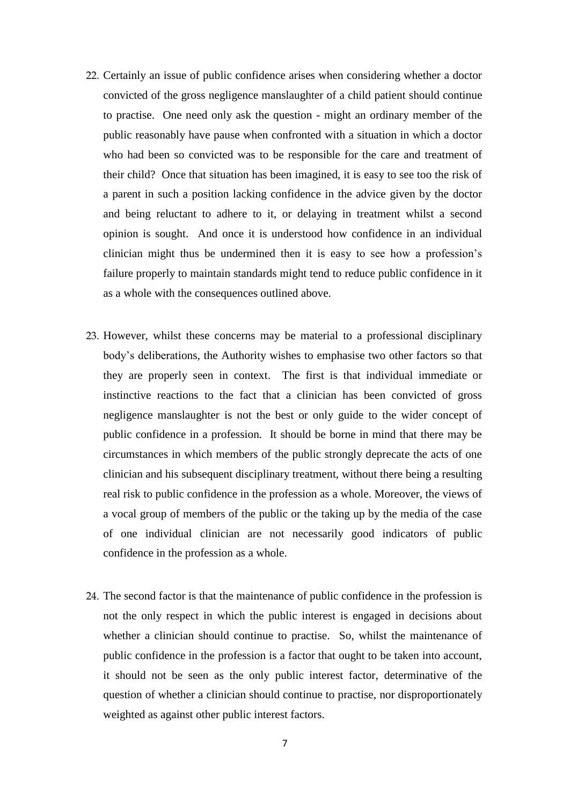- 22. Certainly an issue of public confidence arises when considering whether a doctor convicted of the gross negligence manslaughter of a child patient should continue to practise. One need only ask the question - might an ordinary member of the public reasonably have pause when confronted with a situation in which a doctor who had been so convicted was to be responsible for the care and treatment of their child? Once that situation has been imagined, it is easy to see too the risk of a parent in such a position lacking confidence in the advice given by the doctor and being reluctant to adhere to it, or delaying in treatment whilst a second opinion is sought. And once it is understood how confidence in an individual clinician might thus be undermined then it is easy to see how a profession's failure properly to maintain standards might tend to reduce public confidence in it as a whole with the consequences outlined above.
- 23. However, whilst these concerns may be material to a professional disciplinary body's deliberations, the Authority wishes to emphasise two other factors so that they are properly seen in context. The first is that individual immediate or instinctive reactions to the fact that a clinician has been convicted of gross negligence manslaughter is not the best or only guide to the wider concept of public confidence in a profession. It should be borne in mind that there may be circumstances in which members of the public strongly deprecate the acts of one clinician and his subsequent disciplinary treatment, without there being a resulting real risk to public confidence in the profession as a whole. Moreover, the views of a vocal group of members of the public or the taking up by the media of the case of one individual clinician are not necessarily good indicators of public confidence in the profession as a whole.
- 24. The second factor is that the maintenance of public confidence in the profession is not the only respect in which the public interest is engaged in decisions about whether a clinician should continue to practise. So, whilst the maintenance of public confidence in the profession is a factor that ought to be taken into account, it should not be seen as the only public interest factor, determinative of the question of whether a clinician should continue to practise, nor disproportionately weighted as against other public interest factors.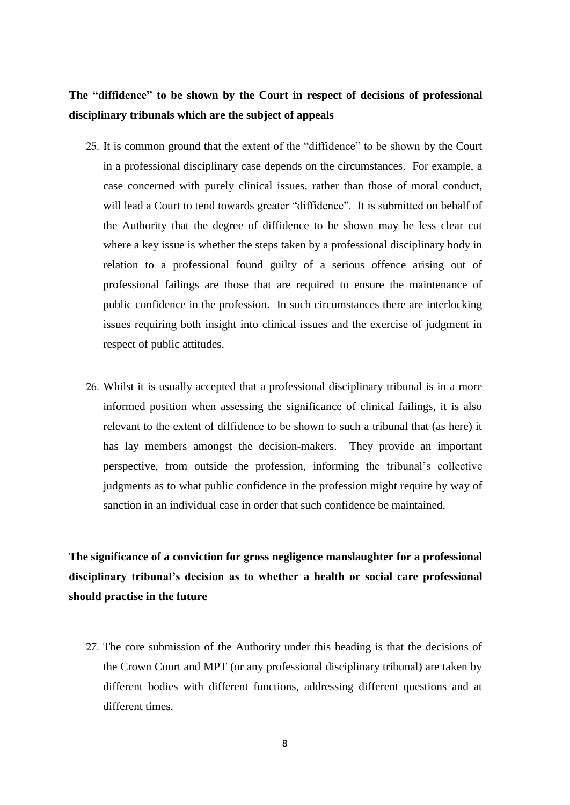## **The "diffidence" to be shown by the Court in respect of decisions of professional disciplinary tribunals which are the subject of appeals**

- 25. It is common ground that the extent of the "diffidence" to be shown by the Court in a professional disciplinary case depends on the circumstances. For example, a case concerned with purely clinical issues, rather than those of moral conduct, will lead a Court to tend towards greater "diffidence". It is submitted on behalf of the Authority that the degree of diffidence to be shown may be less clear cut where a key issue is whether the steps taken by a professional disciplinary body in relation to a professional found guilty of a serious offence arising out of professional failings are those that are required to ensure the maintenance of public confidence in the profession. In such circumstances there are interlocking issues requiring both insight into clinical issues and the exercise of judgment in respect of public attitudes.
- 26. Whilst it is usually accepted that a professional disciplinary tribunal is in a more informed position when assessing the significance of clinical failings, it is also relevant to the extent of diffidence to be shown to such a tribunal that (as here) it has lay members amongst the decision-makers. They provide an important perspective, from outside the profession, informing the tribunal's collective judgments as to what public confidence in the profession might require by way of sanction in an individual case in order that such confidence be maintained.

**The significance of a conviction for gross negligence manslaughter for a professional disciplinary tribunal's decision as to whether a health or social care professional should practise in the future**

27. The core submission of the Authority under this heading is that the decisions of the Crown Court and MPT (or any professional disciplinary tribunal) are taken by different bodies with different functions, addressing different questions and at different times.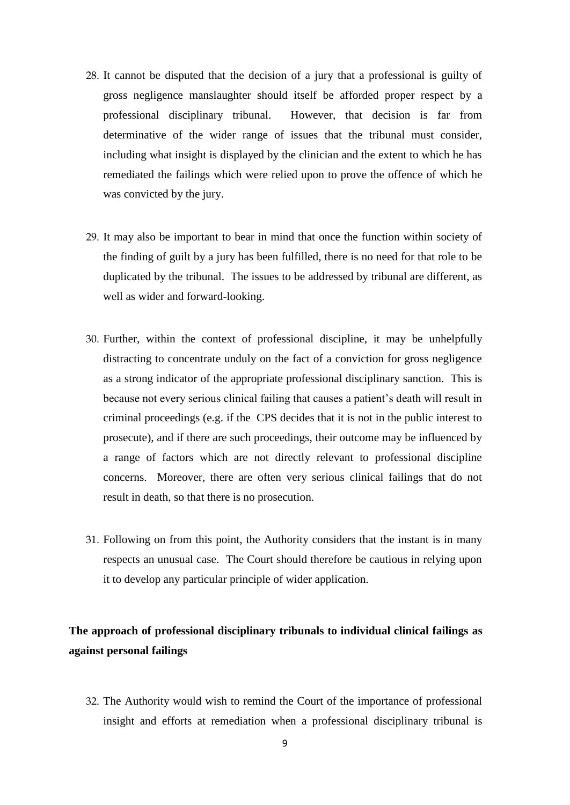- 28. It cannot be disputed that the decision of a jury that a professional is guilty of gross negligence manslaughter should itself be afforded proper respect by a professional disciplinary tribunal. However, that decision is far from determinative of the wider range of issues that the tribunal must consider, including what insight is displayed by the clinician and the extent to which he has remediated the failings which were relied upon to prove the offence of which he was convicted by the jury.
- 29. It may also be important to bear in mind that once the function within society of the finding of guilt by a jury has been fulfilled, there is no need for that role to be duplicated by the tribunal. The issues to be addressed by tribunal are different, as well as wider and forward-looking.
- 30. Further, within the context of professional discipline, it may be unhelpfully distracting to concentrate unduly on the fact of a conviction for gross negligence as a strong indicator of the appropriate professional disciplinary sanction. This is because not every serious clinical failing that causes a patient's death will result in criminal proceedings (e.g. if the CPS decides that it is not in the public interest to prosecute), and if there are such proceedings, their outcome may be influenced by a range of factors which are not directly relevant to professional discipline concerns. Moreover, there are often very serious clinical failings that do not result in death, so that there is no prosecution.
- 31. Following on from this point, the Authority considers that the instant is in many respects an unusual case. The Court should therefore be cautious in relying upon it to develop any particular principle of wider application.

**The approach of professional disciplinary tribunals to individual clinical failings as against personal failings**

32. The Authority would wish to remind the Court of the importance of professional insight and efforts at remediation when a professional disciplinary tribunal is